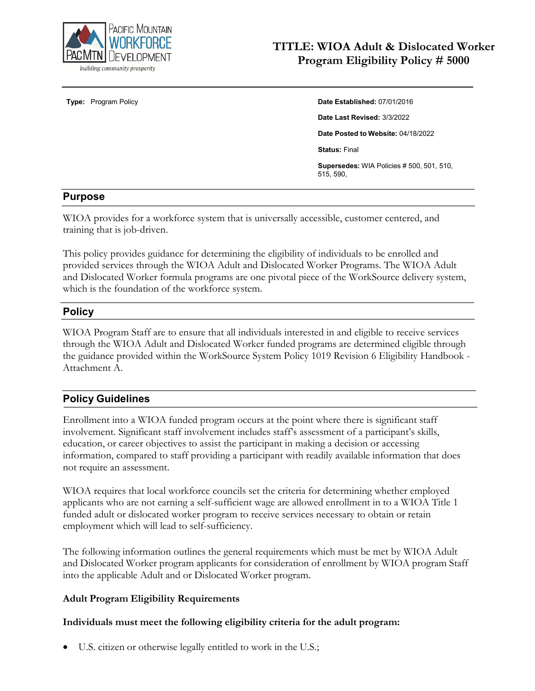

# **TITLE: WIOA Adult & Dislocated Worker Program Eligibility Policy # 5000**

#### **Type:** Program Policy **Date Established:** 07/01/2016

**Date Last Revised:** 3/3/2022

**Date Posted to Website:** 04/18/2022

**Status:** Final

**Supersedes:** WIA Policies # 500, 501, 510, 515, 590,

#### **Purpose**

WIOA provides for a workforce system that is universally accessible, customer centered, and training that is job-driven.

This policy provides guidance for determining the eligibility of individuals to be enrolled and provided services through the WIOA Adult and Dislocated Worker Programs. The WIOA Adult and Dislocated Worker formula programs are one pivotal piece of the WorkSource delivery system, which is the foundation of the workforce system.

## **Policy**

WIOA Program Staff are to ensure that all individuals interested in and eligible to receive services through the WIOA Adult and Dislocated Worker funded programs are determined eligible through the guidance provided within the WorkSource System Policy 1019 Revision 6 Eligibility Handbook - Attachment A.

## **Policy Guidelines**

Enrollment into a WIOA funded program occurs at the point where there is significant staff involvement. Significant staff involvement includes staff's assessment of a participant's skills, education, or career objectives to assist the participant in making a decision or accessing information, compared to staff providing a participant with readily available information that does not require an assessment.

WIOA requires that local workforce councils set the criteria for determining whether employed applicants who are not earning a self-sufficient wage are allowed enrollment in to a WIOA Title 1 funded adult or dislocated worker program to receive services necessary to obtain or retain employment which will lead to self-sufficiency.

The following information outlines the general requirements which must be met by WIOA Adult and Dislocated Worker program applicants for consideration of enrollment by WIOA program Staff into the applicable Adult and or Dislocated Worker program.

#### **Adult Program Eligibility Requirements**

#### **Individuals must meet the following eligibility criteria for the adult program:**

• U.S. citizen or otherwise legally entitled to work in the U.S.;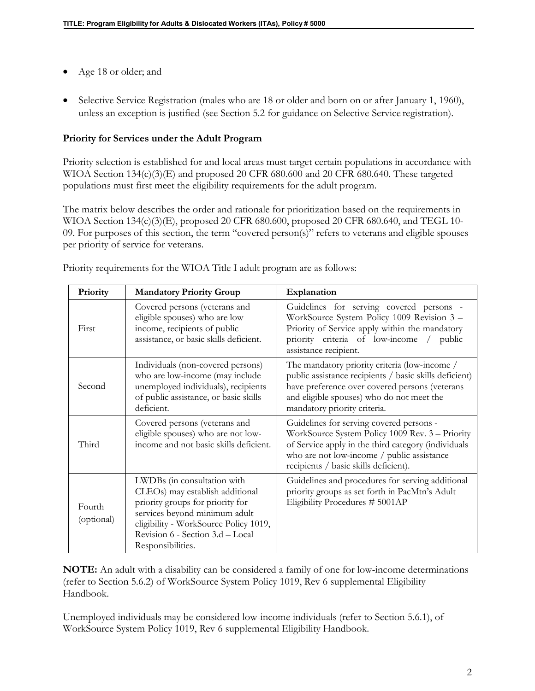- Age 18 or older; and
- Selective Service Registration (males who are 18 or older and born on or after January 1, 1960), unless an exception is justified (see Section 5.2 for guidance on Selective Service registration).

## **Priority for Services under the Adult Program**

Priority selection is established for and local areas must target certain populations in accordance with WIOA Section 134(c)(3)(E) and proposed 20 CFR 680.600 and 20 CFR 680.640. These targeted populations must first meet the eligibility requirements for the adult program.

The matrix below describes the order and rationale for prioritization based on the requirements in WIOA Section 134(c)(3)(E), proposed 20 CFR 680.600, proposed 20 CFR 680.640, and TEGL 10- 09. For purposes of this section, the term "covered person(s)" refers to veterans and eligible spouses per priority of service for veterans.

| Priority             | <b>Mandatory Priority Group</b>                                                                                                                                                                                                       | Explanation                                                                                                                                                                                                                               |
|----------------------|---------------------------------------------------------------------------------------------------------------------------------------------------------------------------------------------------------------------------------------|-------------------------------------------------------------------------------------------------------------------------------------------------------------------------------------------------------------------------------------------|
| First                | Covered persons (veterans and<br>eligible spouses) who are low<br>income, recipients of public<br>assistance, or basic skills deficient.                                                                                              | Guidelines for serving covered persons -<br>WorkSource System Policy 1009 Revision 3 -<br>Priority of Service apply within the mandatory<br>priority criteria of low-income / public<br>assistance recipient.                             |
| Second               | Individuals (non-covered persons)<br>who are low-income (may include<br>unemployed individuals), recipients<br>of public assistance, or basic skills<br>deficient.                                                                    | The mandatory priority criteria (low-income /<br>public assistance recipients / basic skills deficient)<br>have preference over covered persons (veterans<br>and eligible spouses) who do not meet the<br>mandatory priority criteria.    |
| Third                | Covered persons (veterans and<br>eligible spouses) who are not low-<br>income and not basic skills deficient.                                                                                                                         | Guidelines for serving covered persons -<br>WorkSource System Policy 1009 Rev. 3 - Priority<br>of Service apply in the third category (individuals<br>who are not low-income / public assistance<br>recipients / basic skills deficient). |
| Fourth<br>(optional) | LWDBs (in consultation with<br>CLEOs) may establish additional<br>priority groups for priority for<br>services beyond minimum adult<br>eligibility - WorkSource Policy 1019,<br>Revision 6 - Section 3.d - Local<br>Responsibilities. | Guidelines and procedures for serving additional<br>priority groups as set forth in PacMtn's Adult<br>Eligibility Procedures #5001AP                                                                                                      |

Priority requirements for the WIOA Title I adult program are as follows:

**NOTE:** An adult with a disability can be considered a family of one for low-income determinations (refer to Section 5.6.2) of WorkSource System Policy 1019, Rev 6 supplemental Eligibility Handbook.

Unemployed individuals may be considered low-income individuals (refer to Section 5.6.1), of WorkSource System Policy 1019, Rev 6 supplemental Eligibility Handbook.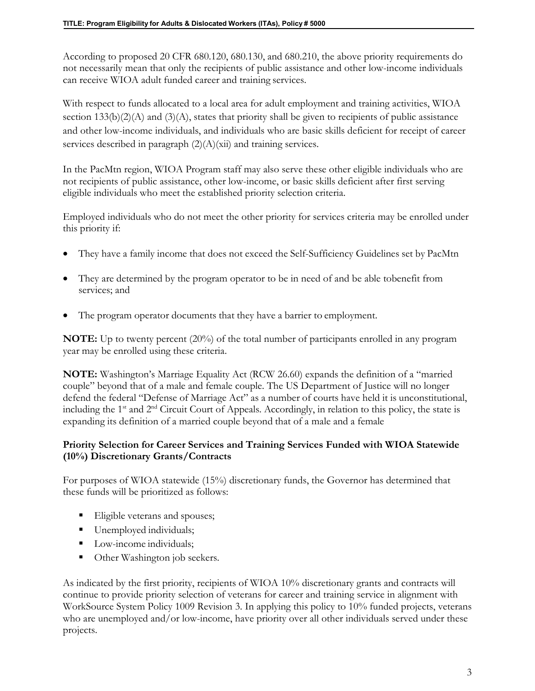According to proposed 20 CFR 680.120, 680.130, and 680.210, the above priority requirements do not necessarily mean that only the recipients of public assistance and other low-income individuals can receive WIOA adult funded career and training services.

With respect to funds allocated to a local area for adult employment and training activities, WIOA section  $133(b)(2)(A)$  and  $(3)(A)$ , states that priority shall be given to recipients of public assistance and other low-income individuals, and individuals who are basic skills deficient for receipt of career services described in paragraph  $(2)(A)(xii)$  and training services.

In the PacMtn region, WIOA Program staff may also serve these other eligible individuals who are not recipients of public assistance, other low-income, or basic skills deficient after first serving eligible individuals who meet the established priority selection criteria.

Employed individuals who do not meet the other priority for services criteria may be enrolled under this priority if:

- They have a family income that does not exceed the Self-Sufficiency Guidelines set by PacMtn
- They are determined by the program operator to be in need of and be able tobenefit from services; and
- The program operator documents that they have a barrier to employment.

**NOTE:** Up to twenty percent (20%) of the total number of participants enrolled in any program year may be enrolled using these criteria.

**NOTE:** Washington's Marriage Equality Act (RCW 26.60) expands the definition of a "married couple" beyond that of a male and female couple. The US Department of Justice will no longer defend the federal "Defense of Marriage Act" as a number of courts have held it is unconstitutional, including the 1<sup>st</sup> and 2<sup>nd</sup> Circuit Court of Appeals. Accordingly, in relation to this policy, the state is expanding its definition of a married couple beyond that of a male and a female

## **Priority Selection for Career Services and Training Services Funded with WIOA Statewide (10%) Discretionary Grants/Contracts**

For purposes of WIOA statewide (15%) discretionary funds, the Governor has determined that these funds will be prioritized as follows:

- Eligible veterans and spouses;
- Unemployed individuals;
- Low-income individuals;
- Other Washington job seekers.

As indicated by the first priority, recipients of WIOA 10% discretionary grants and contracts will continue to provide priority selection of veterans for career and training service in alignment with WorkSource System Policy 1009 Revision 3. In applying this policy to 10% funded projects, veterans who are unemployed and/or low-income, have priority over all other individuals served under these projects.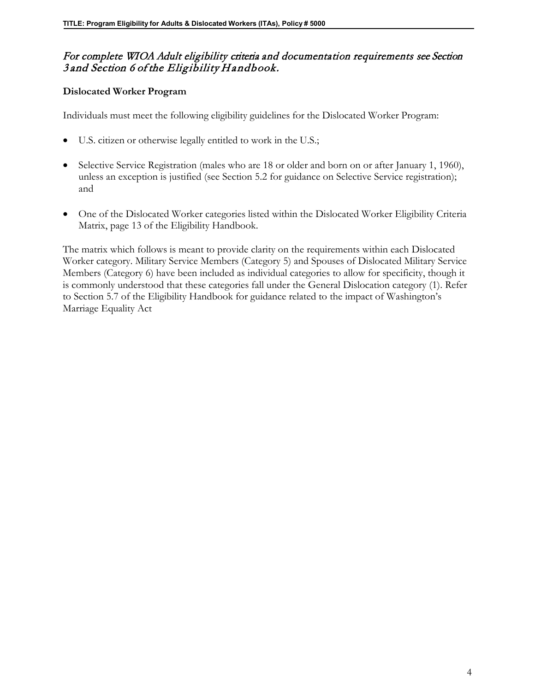## For complete WIOA Adult eligibility criteria and documentation requirements see Section 3 and Section 6 of the Eligibility Handbook.

#### **Dislocated Worker Program**

Individuals must meet the following eligibility guidelines for the Dislocated Worker Program:

- U.S. citizen or otherwise legally entitled to work in the U.S.;
- Selective Service Registration (males who are 18 or older and born on or after January 1, 1960), unless an exception is justified (see Section 5.2 for guidance on Selective Service registration); and
- One of the Dislocated Worker categories listed within the Dislocated Worker Eligibility Criteria Matrix, page 13 of the Eligibility Handbook.

The matrix which follows is meant to provide clarity on the requirements within each Dislocated Worker category. Military Service Members (Category 5) and Spouses of Dislocated Military Service Members (Category 6) have been included as individual categories to allow for specificity, though it is commonly understood that these categories fall under the General Dislocation category (1). Refer to Section 5.7 of the Eligibility Handbook for guidance related to the impact of Washington's Marriage Equality Act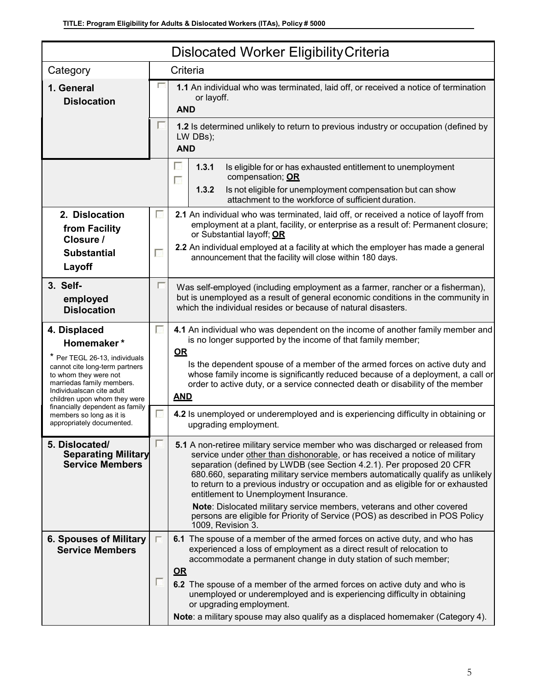| <b>Dislocated Worker Eligibility Criteria</b>                                                                                                                                                                    |                                                                                                                 |                                                                                                                                                                                                                                                                                                                                                                                                                                                                                                                              |
|------------------------------------------------------------------------------------------------------------------------------------------------------------------------------------------------------------------|-----------------------------------------------------------------------------------------------------------------|------------------------------------------------------------------------------------------------------------------------------------------------------------------------------------------------------------------------------------------------------------------------------------------------------------------------------------------------------------------------------------------------------------------------------------------------------------------------------------------------------------------------------|
| Category                                                                                                                                                                                                         |                                                                                                                 | Criteria                                                                                                                                                                                                                                                                                                                                                                                                                                                                                                                     |
| 1. General<br><b>Dislocation</b>                                                                                                                                                                                 | 1.1 An individual who was terminated, laid off, or received a notice of termination<br>or layoff.<br><b>AND</b> |                                                                                                                                                                                                                                                                                                                                                                                                                                                                                                                              |
|                                                                                                                                                                                                                  |                                                                                                                 | 1.2 Is determined unlikely to return to previous industry or occupation (defined by<br>LW DBs);<br><b>AND</b>                                                                                                                                                                                                                                                                                                                                                                                                                |
|                                                                                                                                                                                                                  |                                                                                                                 | г<br>1.3.1<br>Is eligible for or has exhausted entitlement to unemployment<br>compensation; OR<br>г<br>1.3.2<br>Is not eligible for unemployment compensation but can show<br>attachment to the workforce of sufficient duration.                                                                                                                                                                                                                                                                                            |
| 2. Dislocation<br>from Facility<br>Closure /<br><b>Substantial</b>                                                                                                                                               | г<br>П                                                                                                          | 2.1 An individual who was terminated, laid off, or received a notice of layoff from<br>employment at a plant, facility, or enterprise as a result of: Permanent closure;<br>or Substantial layoff; OR<br>2.2 An individual employed at a facility at which the employer has made a general<br>announcement that the facility will close within 180 days.                                                                                                                                                                     |
| Layoff<br>3. Self-                                                                                                                                                                                               | г                                                                                                               | Was self-employed (including employment as a farmer, rancher or a fisherman),                                                                                                                                                                                                                                                                                                                                                                                                                                                |
| employed<br><b>Dislocation</b>                                                                                                                                                                                   |                                                                                                                 | but is unemployed as a result of general economic conditions in the community in<br>which the individual resides or because of natural disasters.                                                                                                                                                                                                                                                                                                                                                                            |
| 4. Displaced<br>Homemaker*<br>* Per TEGL 26-13, individuals<br>cannot cite long-term partners<br>to whom they were not<br>marriedas family members.<br>Individualscan cite adult<br>children upon whom they were | T                                                                                                               | 4.1 An individual who was dependent on the income of another family member and<br>is no longer supported by the income of that family member;<br>QR<br>Is the dependent spouse of a member of the armed forces on active duty and<br>whose family income is significantly reduced because of a deployment, a call or<br>order to active duty, or a service connected death or disability of the member<br><b>AND</b>                                                                                                         |
| financially dependent as family<br>members so long as it is<br>appropriately documented.                                                                                                                         | $\Box$                                                                                                          | 4.2 Is unemployed or underemployed and is experiencing difficulty in obtaining or<br>upgrading employment.                                                                                                                                                                                                                                                                                                                                                                                                                   |
| 5. Dislocated/<br><b>Separating Military</b><br><b>Service Members</b>                                                                                                                                           |                                                                                                                 | 5.1 A non-retiree military service member who was discharged or released from<br>service under other than dishonorable, or has received a notice of military<br>separation (defined by LWDB (see Section 4.2.1). Per proposed 20 CFR<br>680.660, separating military service members automatically qualify as unlikely<br>to return to a previous industry or occupation and as eligible for or exhausted<br>entitlement to Unemployment Insurance.<br>Note: Dislocated military service members, veterans and other covered |
|                                                                                                                                                                                                                  |                                                                                                                 | persons are eligible for Priority of Service (POS) as described in POS Policy<br>1009, Revision 3.                                                                                                                                                                                                                                                                                                                                                                                                                           |
| 6. Spouses of Military<br><b>Service Members</b>                                                                                                                                                                 |                                                                                                                 | 6.1 The spouse of a member of the armed forces on active duty, and who has<br>experienced a loss of employment as a direct result of relocation to<br>accommodate a permanent change in duty station of such member;<br>$\Omega$ R<br>6.2 The spouse of a member of the armed forces on active duty and who is                                                                                                                                                                                                               |
|                                                                                                                                                                                                                  |                                                                                                                 | unemployed or underemployed and is experiencing difficulty in obtaining<br>or upgrading employment.<br>Note: a military spouse may also qualify as a displaced homemaker (Category 4).                                                                                                                                                                                                                                                                                                                                       |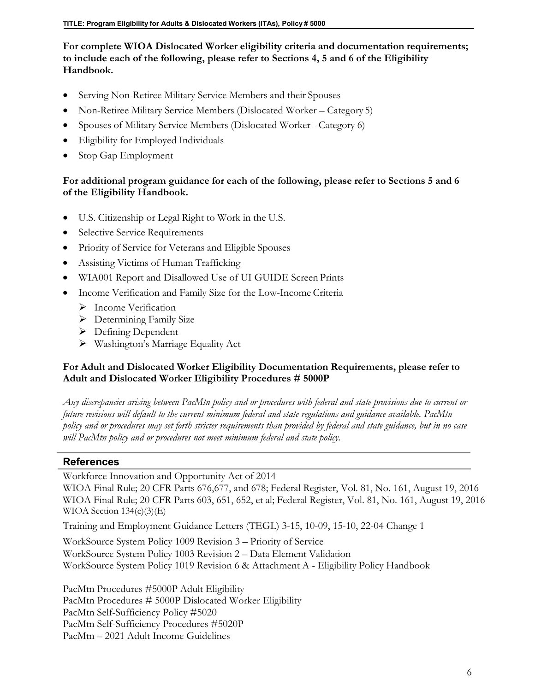## **For complete WIOA Dislocated Worker eligibility criteria and documentation requirements; to include each of the following, please refer to Sections 4, 5 and 6 of the Eligibility Handbook.**

- Serving Non-Retiree Military Service Members and their Spouses
- Non-Retiree Military Service Members (Dislocated Worker Category 5)
- Spouses of Military Service Members (Dislocated Worker Category 6)
- Eligibility for Employed Individuals
- Stop Gap Employment

## **For additional program guidance for each of the following, please refer to Sections 5 and 6 of the Eligibility Handbook.**

- U.S. Citizenship or Legal Right to Work in the U.S.
- Selective Service Requirements
- Priority of Service for Veterans and Eligible Spouses
- Assisting Victims of Human Trafficking
- WIA001 Report and Disallowed Use of UI GUIDE Screen Prints
- Income Verification and Family Size for the Low-Income Criteria
	- > Income Verification
	- $\triangleright$  Determining Family Size
	- $\triangleright$  Defining Dependent
	- Washington's Marriage Equality Act

## **For Adult and Dislocated Worker Eligibility Documentation Requirements, please refer to Adult and Dislocated Worker Eligibility Procedures # 5000P**

*Any discrepancies arising between PacMtn policy and or procedures with federal and state provisions due to current or future revisions will default to the current minimum federal and state regulations and guidance available. PacMtn policy and or procedures may set forth stricter requirements than provided by federal and state guidance, but in no case will PacMtn policy and or procedures not meet minimum federal and state policy.*

## **References**

Workforce Innovation and Opportunity Act of 2014

WIOA Final Rule; 20 CFR Parts 676,677, and 678; Federal Register, Vol. 81, No. 161, August 19, 2016 WIOA Final Rule; 20 CFR Parts 603, 651, 652, et al; Federal Register, Vol. 81, No. 161, August 19, 2016 WIOA Section 134(c)(3)(E)

Training and Employment Guidance Letters (TEGL) 3-15, 10-09, 15-10, 22-04 Change 1

WorkSource System Policy 1009 Revision 3 – Priority of Service WorkSource System Policy 1003 Revision 2 – Data Element Validation WorkSource System Policy 1019 Revision 6 & Attachment A - Eligibility Policy Handbook

PacMtn Procedures #5000P Adult Eligibility PacMtn Procedures # 5000P Dislocated Worker Eligibility PacMtn Self-Sufficiency Policy #5020 PacMtn Self-Sufficiency Procedures #5020P PacMtn – 2021 Adult Income Guidelines